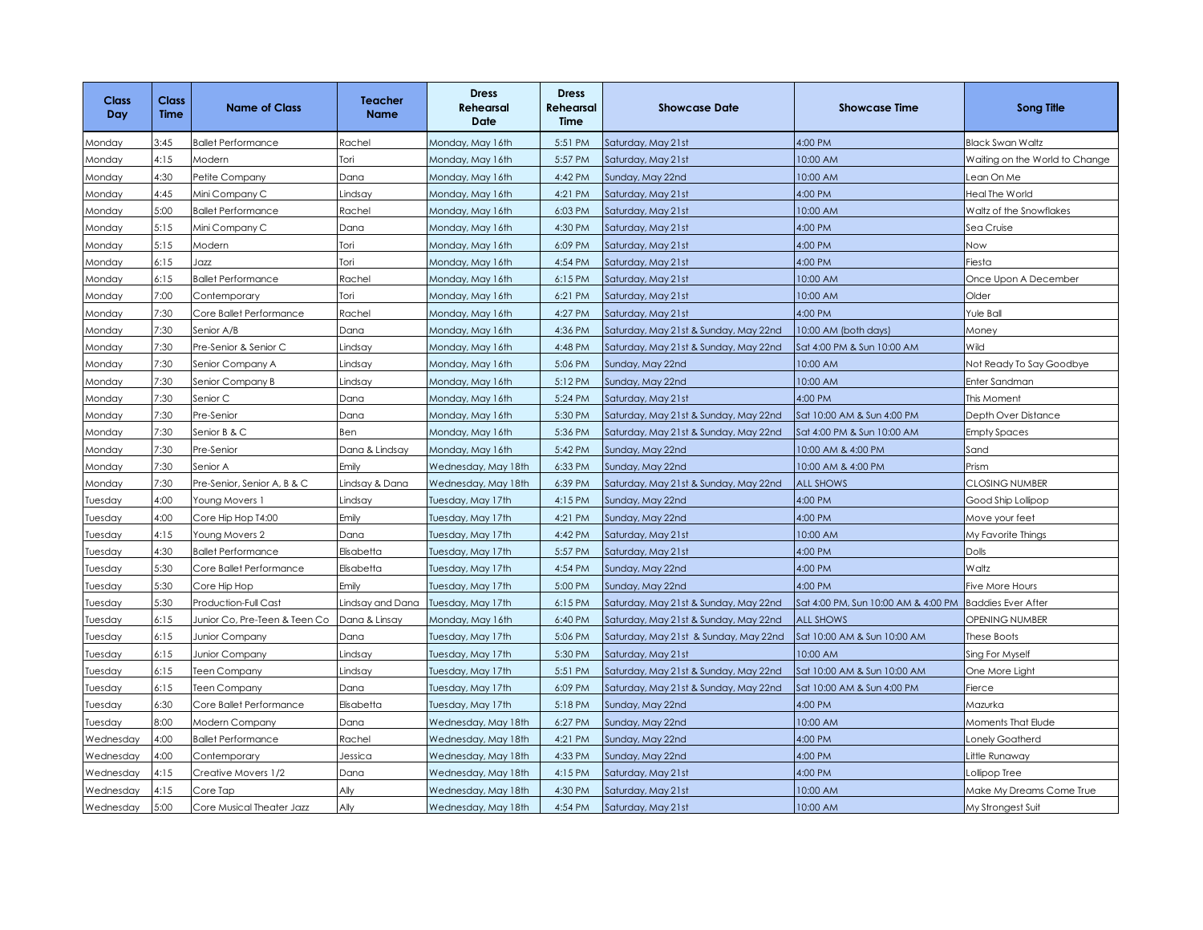| <b>Class</b><br>Day | <b>Class</b><br><b>Time</b> | <b>Name of Class</b>          | Teacher<br><b>Name</b> | <b>Dress</b><br><b>Rehearsal</b><br>Date | <b>Dress</b><br>Rehearsal<br>Time | <b>Showcase Date</b>                  | <b>Showcase Time</b>                | Song Title                     |
|---------------------|-----------------------------|-------------------------------|------------------------|------------------------------------------|-----------------------------------|---------------------------------------|-------------------------------------|--------------------------------|
| Monday              | 3:45                        | Ballet Performance            | Rachel                 | Monday, May 16th                         | 5:51 PM                           | Saturday, May 21st                    | 4:00 PM                             | Black Swan Waltz               |
| Monday              | 4:15                        | Modern                        | Tori                   | Monday, May 16th                         | 5:57 PM                           | Saturday, May 21st                    | 10:00 AM                            | Waiting on the World to Change |
| Monday              | 4:30                        | Petite Company                | Dana                   | Monday, May 16th                         | 4:42 PM                           | Sunday, May 22nd                      | 10:00 AM                            | ean On Me                      |
| Monday              | 4:45                        | Mini Company C                | Lindsay                | Monday, May 16th                         | 4:21 PM                           | Saturday, May 21st                    | 4:00 PM                             | Heal The World                 |
| Monday              | 5:00                        | <b>Ballet Performance</b>     | Rachel                 | Monday, May 16th                         | 6:03 PM                           | Saturday, May 21st                    | 10:00 AM                            | Waltz of the Snowflakes        |
| Monday              | 5:15                        | Mini Company C                | Dana                   | Monday, May 16th                         | 4:30 PM                           | Saturday, May 21st                    | 4:00 PM                             | Sea Cruise                     |
| Monday              | 5:15                        | Modern                        | Tori                   | Monday, May 16th                         | 6:09 PM                           | Saturday, May 21st                    | 4:00 PM                             | Now                            |
| Monday              | 6:15                        | Jazz                          | Tori                   | Monday, May 16th                         | 4:54 PM                           | Saturday, May 21st                    | 4:00 PM                             | Fiesta                         |
| Monday              | 6:15                        | <b>Ballet Performance</b>     | Rachel                 | Monday, May 16th                         | 6:15 PM                           | Saturday, May 21st                    | 10:00 AM                            | Once Upon A December           |
| Monday              | 7:00                        | Contemporary                  | Tori                   | Monday, May 16th                         | 6:21 PM                           | Saturday, May 21st                    | 10:00 AM                            | Older                          |
| Monday              | 7:30                        | Core Ballet Performance       | Rachel                 | Monday, May 16th                         | 4:27 PM                           | Saturday, May 21st                    | 4:00 PM                             | Yule Ball                      |
| Monday              | 7:30                        | Senior A/B                    | Dana                   | Monday, May 16th                         | 4:36 PM                           | Saturday, May 21st & Sunday, May 22nd | 10:00 AM (both days)                | Money                          |
| Monday              | 7:30                        | Pre-Senior & Senior C         | Lindsay                | Monday, May 16th                         | 4:48 PM                           | Saturday, May 21st & Sunday, May 22nd | Sat 4:00 PM & Sun 10:00 AM          | Wild                           |
| Monday              | 7:30                        | Senior Company A              | Lindsay                | Monday, May 16th                         | 5:06 PM                           | Sunday, May 22nd                      | 10:00 AM                            | Not Ready To Say Goodbye       |
| Monday              | 7:30                        | Senior Company B              | Lindsay                | Monday, May 16th                         | 5:12 PM                           | Sunday, May 22nd                      | 10:00 AM                            | Enter Sandman                  |
| Monday              | 7:30                        | Senior C                      | Dana                   | Monday, May 16th                         | 5:24 PM                           | Saturday, May 21st                    | 4:00 PM                             | This Moment                    |
| Monday              | 7:30                        | Pre-Senior                    | Dana                   | Monday, May 16th                         | 5:30 PM                           | Saturday, May 21st & Sunday, May 22nd | Sat 10:00 AM & Sun 4:00 PM          | Depth Over Distance            |
| Monday              | 7:30                        | Senior B & C                  | Ben                    | Monday, May 16th                         | 5:36 PM                           | Saturday, May 21st & Sunday, May 22nd | Sat 4:00 PM & Sun 10:00 AM          | <b>Empty Spaces</b>            |
| Monday              | 7:30                        | Pre-Senior                    | Dana & Lindsay         | Monday, May 16th                         | 5:42 PM                           | Sunday, May 22nd                      | 10:00 AM & 4:00 PM                  | Sand                           |
| Monday              | 7:30                        | Senior A                      | Emily                  | Wednesday, May 18th                      | 6:33 PM                           | Sunday, May 22nd                      | 10:00 AM & 4:00 PM                  | Prism                          |
| Monday              | 7:30                        | Pre-Senior, Senior A, B & C   | Lindsay & Dana         | Wednesday, May 18th                      | 6:39 PM                           | Saturday, May 21st & Sunday, May 22nd | <b>ALL SHOWS</b>                    | CLOSING NUMBER                 |
| Tuesday             | 4:00                        | Young Movers 1                | Lindsay                | Tuesday, May 17th                        | 4:15 PM                           | Sunday, May 22nd                      | 4:00 PM                             | Good Ship Lollipop             |
| Tuesday             | 4:00                        | Core Hip Hop T4:00            | Emily                  | Tuesday, May 17th                        | 4:21 PM                           | Sunday, May 22nd                      | 4:00 PM                             | Move your feet                 |
| Tuesday             | 4:15                        | oung Movers 2                 | Dana                   | Tuesday, May 17th                        | 4:42 PM                           | Saturday, May 21st                    | 10:00 AM                            | My Favorite Things             |
| Tuesday             | 4:30                        | Ballet Performance            | Elisabetta             | Tuesday, May 17th                        | 5:57 PM                           | Saturday, May 21st                    | 4:00 PM                             | Dolls                          |
| Tuesday             | 5:30                        | Core Ballet Performance       | Elisabetta             | Tuesday, May 17th                        | 4:54 PM                           | Sunday, May 22nd                      | 4:00 PM                             | Waltz                          |
| Tuesday             | 5:30                        | Core Hip Hop                  | Emily                  | Tuesday, May 17th                        | 5:00 PM                           | Sunday, May 22nd                      | 4:00 PM                             | Five More Hours                |
| Tuesday             | 5:30                        | Production-Full Cast          | Lindsay and Dana       | Tuesday, May 17th                        | 6:15 PM                           | Saturday, May 21st & Sunday, May 22nd | Sat 4:00 PM, Sun 10:00 AM & 4:00 PM | <b>Baddies Ever After</b>      |
| Tuesday             | 6:15                        | lunior Co, Pre-Teen & Teen Co | Dana & Linsay          | Monday, May 16th                         | 6:40 PM                           | Saturday, May 21st & Sunday, May 22nd | <b>ALL SHOWS</b>                    | OPENING NUMBER                 |
| Tuesday             | 6:15                        | Junior Company                | Dana                   | Tuesday, May 17th                        | 5:06 PM                           | Saturday, May 21st & Sunday, May 22nd | Sat 10:00 AM & Sun 10:00 AM         | <b>These Boots</b>             |
| Tuesday             | 6:15                        | Junior Company                | Lindsay                | Tuesday, May 17th                        | 5:30 PM                           | Saturday, May 21st                    | 10:00 AM                            | Sing For Myself                |
| Tuesday             | 6:15                        | leen Company                  | Lindsay                | Tuesday, May 17th                        | 5:51 PM                           | Saturday, May 21st & Sunday, May 22nd | Sat 10:00 AM & Sun 10:00 AM         | One More Light                 |
| Tuesday             | 6:15                        | Teen Company                  | Dana                   | Tuesday, May 17th                        | 6:09 PM                           | Saturday, May 21st & Sunday, May 22nd | Sat 10:00 AM & Sun 4:00 PM          | Fierce                         |
| Tuesday             | 6:30                        | Core Ballet Performance       | Elisabetta             | Tuesday, May 17th                        | 5:18 PM                           | Sunday, May 22nd                      | 4:00 PM                             | Mazurka                        |
| Tuesday             | 8:00                        | Modern Company                | Dana                   | Wednesday, May 18th                      | 6:27 PM                           | Sunday, May 22nd                      | MA 00:01                            | Moments That Elude             |
| Wednesday           | 4:00                        | Ballet Performance            | Rachel                 | Wednesday, May 18th                      | 4:21 PM                           | Sunday, May 22nd                      | 4:00 PM                             | onely Goatherd.                |
| Wednesday           | 4:00                        | Contemporary                  | Jessica                | Wednesday, May 18th                      | 4:33 PM                           | Sunday, May 22nd                      | 4:00 PM                             | ittle Runaway                  |
| Wednesday           | 4:15                        | Creative Movers 1/2           | Dana                   | Wednesday, May 18th                      | 4:15 PM                           | Saturday, May 21st                    | 4:00 PM                             | Lollipop Tree                  |
| Wednesday           | 4:15                        | Core Tap                      | Ally                   | Wednesday, May 18th                      | 4:30 PM                           | Saturday, May 21st                    | 10:00 AM                            | Make My Dreams Come True       |
| Wednesday           | 5:00                        | Core Musical Theater Jazz     | Ally                   | Wednesday, May 18th                      | 4:54 PM                           | Saturday, May 21st                    | 10:00 AM                            | My Strongest Suit              |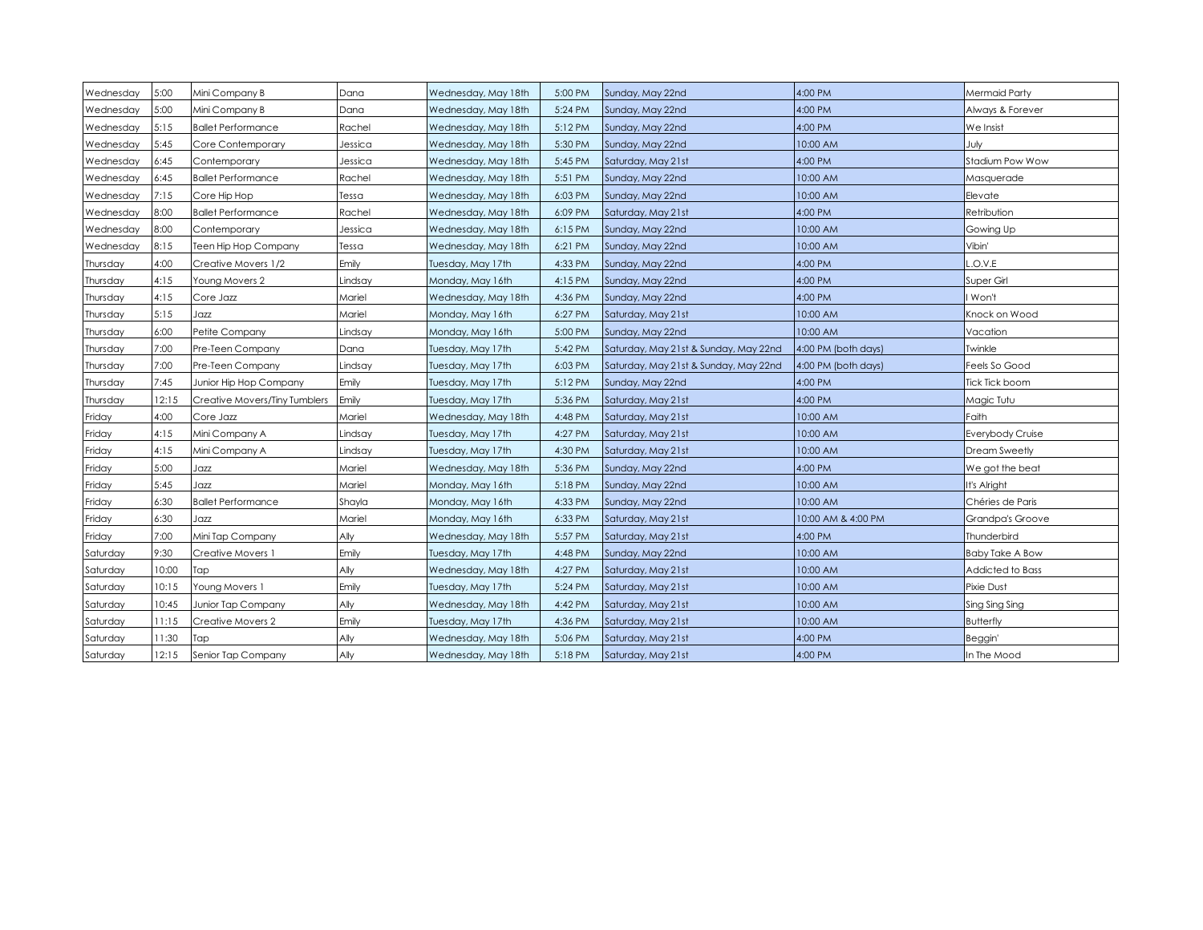| Wednesday | 5:00  | Mini Company B                | Dana    | Wednesday, May 18th | 5:00 PM | Sunday, May 22nd                      | 4:00 PM             | <b>Mermaid Party</b>   |
|-----------|-------|-------------------------------|---------|---------------------|---------|---------------------------------------|---------------------|------------------------|
| Wednesday | 5:00  | Mini Company B                | Dana    | Wednesday, May 18th | 5:24 PM | Sunday, May 22nd                      | 4:00 PM             | Always & Forever       |
| Wednesday | 5:15  | <b>Ballet Performance</b>     | Rachel  | Wednesday, May 18th | 5:12 PM | Sunday, May 22nd                      | 4:00 PM             | We Insist              |
| Wednesday | 5:45  | Core Contemporary             | Jessica | Wednesday, May 18th | 5:30 PM | Sunday, May 22nd                      | 10:00 AM            | July                   |
| Wednesday | 6:45  | Contemporary                  | Jessica | Wednesday, May 18th | 5:45 PM | Saturday, May 21st                    | 4:00 PM             | Stadium Pow Wow        |
| Wednesday | 6:45  | <b>Ballet Performance</b>     | Rachel  | Wednesday, May 18th | 5:51 PM | Sunday, May 22nd                      | MA 00:01            | Masquerade             |
| Wednesday | 7:15  | Core Hip Hop                  | Tessa   | Wednesday, May 18th | 6:03 PM | Sunday, May 22nd                      | 10:00 AM            | Elevate                |
| Wednesday | 8:00  | <b>Ballet Performance</b>     | Rachel  | Wednesday, May 18th | 6:09 PM | Saturday, May 21st                    | 4:00 PM             | Retribution            |
| Wednesday | 8:00  | Contemporary                  | Jessica | Wednesday, May 18th | 6:15 PM | Sunday, May 22nd                      | 10:00 AM            | Gowing Up              |
| Wednesday | 8:15  | Teen Hip Hop Company          | Tessa   | Wednesday, May 18th | 6:21 PM | Sunday, May 22nd                      | MA 00:01            | Vibin'                 |
| Thursday  | 4:00  | Creative Movers 1/2           | Emily   | Tuesday, May 17th   | 4:33 PM | Sunday, May 22nd                      | 4:00 PM             | .O.V.E                 |
| Thursday  | 4:15  | Young Movers 2                | Lindsay | Monday, May 16th    | 4:15 PM | Sunday, May 22nd                      | 4:00 PM             | Super Girl             |
| Thursday  | 4:15  | Core Jazz                     | Mariel  | Wednesday, May 18th | 4:36 PM | Sunday, May 22nd                      | 4:00 PM             | Won't                  |
| Thursday  | 5:15  | Jazz                          | Mariel  | Monday, May 16th    | 6:27 PM | Saturday, May 21st                    | 10:00 AM            | Knock on Wood          |
| Thursday  | 6:00  | Petite Company                | .indsay | Monday, May 16th    | 5:00 PM | Sunday, May 22nd                      | 10:00 AM            | Vacation               |
| Thursday  | 7:00  | Pre-Teen Company              | Dana    | Tuesday, May 17th   | 5:42 PM | Saturday, May 21st & Sunday, May 22nd | 4:00 PM (both days) | Twinkle                |
| Thursday  | 7:00  | Pre-Teen Company              | Lindsay | Tuesday, May 17th   | 6:03 PM | Saturday, May 21st & Sunday, May 22nd | 4:00 PM (both days) | Feels So Good          |
| Thursday  | 7:45  | Junior Hip Hop Company        | Emily   | Tuesday, May 17th   | 5:12 PM | Sunday, May 22nd                      | 4:00 PM             | Tick Tick boom         |
| Thursday  | 12:15 | Creative Movers/Tiny Tumblers | Emily   | Tuesday, May 17th   | 5:36 PM | Saturday, May 21st                    | 4:00 PM             | Magic Tutu             |
| Friday    | 4:00  | Core Jazz                     | Mariel  | Wednesday, May 18th | 4:48 PM | Saturday, May 21st                    | MA 00:01            | Faith                  |
| Friday    | 4:15  | Mini Company A                | .indsay | Tuesday, May 17th   | 4:27 PM | Saturday, May 21st                    | MA 00:01            | Everybody Cruise       |
| Friday    | 4:15  | Mini Company A                | Lindsay | Tuesday, May 17th   | 4:30 PM | Saturday, May 21st                    | 10:00 AM            | Dream Sweetly          |
| Friday    | 5:00  | Jazz                          | Mariel  | Wednesday, May 18th | 5:36 PM | Sunday, May 22nd                      | 4:00 PM             | We got the beat        |
| Friday    | 5:45  | Jazz                          | Mariel  | Monday, May 16th    | 5:18 PM | Sunday, May 22nd                      | MA 00:01            | It's Alright           |
| Friday    | 6:30  | <b>Ballet Performance</b>     | Shayla  | Monday, May 16th    | 4:33 PM | Sunday, May 22nd                      | 10:00 AM            | Chéries de Paris       |
| Friday    | 6:30  | Jazz                          | Mariel  | Monday, May 16th    | 6:33 PM | Saturday, May 21st                    | 10:00 AM & 4:00 PM  | Grandpa's Groove       |
| Friday    | 7:00  | Mini Tap Company              | Ally    | Wednesday, May 18th | 5:57 PM | Saturday, May 21st                    | 4:00 PM             | Thunderbird            |
| Saturday  | 9:30  | Creative Movers 1             | Emily   | Tuesday, May 17th   | 4:48 PM | Sunday, May 22nd                      | 10:00 AM            | <b>Baby Take A Bow</b> |
| Saturday  | 10:00 | Tap                           | Ally    | Wednesday, May 18th | 4:27 PM | Saturday, May 21st                    | MA 00:01            | Addicted to Bass       |
| Saturday  | 10:15 | Young Movers 1                | Emily   | Tuesday, May 17th   | 5:24 PM | Saturday, May 21st                    | 10:00 AM            | Pixie Dust             |
| Saturday  | 10:45 | Junior Tap Company            | Ally    | Wednesday, May 18th | 4:42 PM | Saturday, May 21st                    | MA 00:01            | Sing Sing Sing         |
| Saturday  | 11:15 | Creative Movers 2             | Emily   | Tuesday, May 17th   | 4:36 PM | Saturday, May 21st                    | MA 00:01            | <b>Butterfly</b>       |
| Saturday  | 11:30 | Tap                           | Ally    | Wednesday, May 18th | 5:06 PM | Saturday, May 21st                    | 4:00 PM             | Beggin'                |
| Saturday  | 12:15 | Senior Tap Company            | Ally    | Wednesday, May 18th | 5:18 PM | Saturday, May 21st                    | 4:00 PM             | In The Mood            |